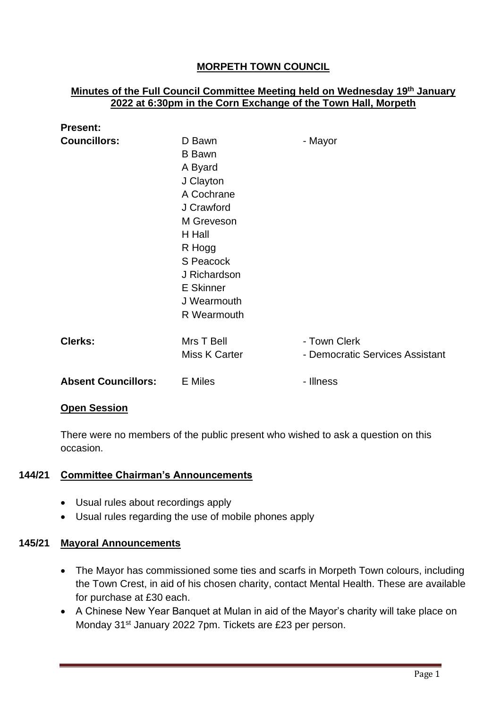# **MORPETH TOWN COUNCIL**

### **Minutes of the Full Council Committee Meeting held on Wednesday 19th January 2022 at 6:30pm in the Corn Exchange of the Town Hall, Morpeth**

| <b>Present:</b>            |                                                                                                                                                                                              |                                                 |
|----------------------------|----------------------------------------------------------------------------------------------------------------------------------------------------------------------------------------------|-------------------------------------------------|
| <b>Councillors:</b>        | D Bawn<br><b>B</b> Bawn<br>A Byard<br>J Clayton<br>A Cochrane<br>J Crawford<br>M Greveson<br>H Hall<br>R Hogg<br>S Peacock<br>J Richardson<br><b>E</b> Skinner<br>J Wearmouth<br>R Wearmouth | - Mayor                                         |
| <b>Clerks:</b>             | Mrs T Bell<br><b>Miss K Carter</b>                                                                                                                                                           | - Town Clerk<br>- Democratic Services Assistant |
| <b>Absent Councillors:</b> | <b>E</b> Miles                                                                                                                                                                               | - Illness                                       |

#### **Open Session**

There were no members of the public present who wished to ask a question on this occasion.

#### **144/21 Committee Chairman's Announcements**

- Usual rules about recordings apply
- Usual rules regarding the use of mobile phones apply

## **145/21 Mayoral Announcements**

- The Mayor has commissioned some ties and scarfs in Morpeth Town colours, including the Town Crest, in aid of his chosen charity, contact Mental Health. These are available for purchase at £30 each.
- A Chinese New Year Banquet at Mulan in aid of the Mayor's charity will take place on Monday 31<sup>st</sup> January 2022 7pm. Tickets are £23 per person.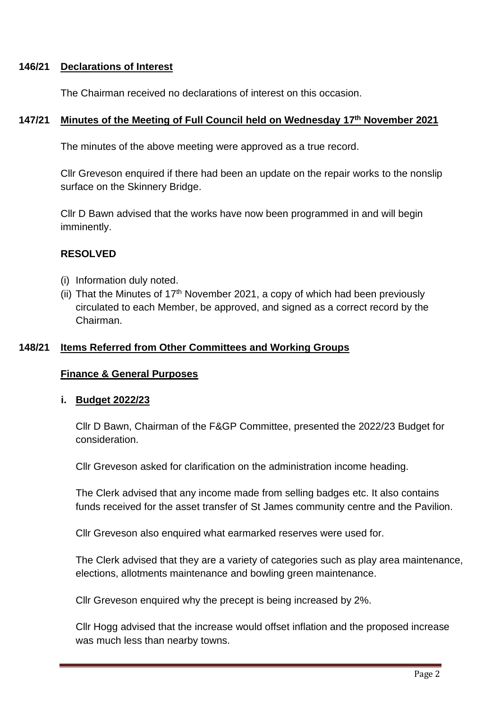### **146/21 Declarations of Interest**

The Chairman received no declarations of interest on this occasion.

#### **147/21 Minutes of the Meeting of Full Council held on Wednesday 17th November 2021**

The minutes of the above meeting were approved as a true record.

Cllr Greveson enquired if there had been an update on the repair works to the nonslip surface on the Skinnery Bridge.

Cllr D Bawn advised that the works have now been programmed in and will begin imminently.

#### **RESOLVED**

- (i) Information duly noted.
- (ii) That the Minutes of  $17<sup>th</sup>$  November 2021, a copy of which had been previously circulated to each Member, be approved, and signed as a correct record by the Chairman.

#### **148/21 Items Referred from Other Committees and Working Groups**

#### **Finance & General Purposes**

#### **i. Budget 2022/23**

Cllr D Bawn, Chairman of the F&GP Committee, presented the 2022/23 Budget for consideration.

Cllr Greveson asked for clarification on the administration income heading.

The Clerk advised that any income made from selling badges etc. It also contains funds received for the asset transfer of St James community centre and the Pavilion.

Cllr Greveson also enquired what earmarked reserves were used for.

The Clerk advised that they are a variety of categories such as play area maintenance, elections, allotments maintenance and bowling green maintenance.

Cllr Greveson enquired why the precept is being increased by 2%.

Cllr Hogg advised that the increase would offset inflation and the proposed increase was much less than nearby towns.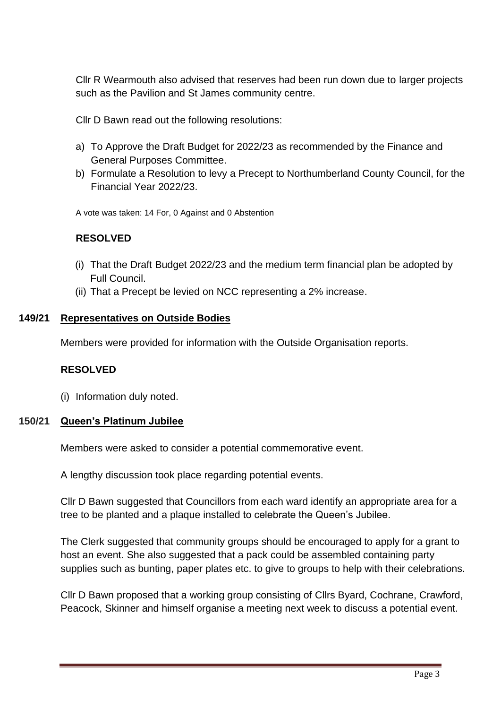Cllr R Wearmouth also advised that reserves had been run down due to larger projects such as the Pavilion and St James community centre.

Cllr D Bawn read out the following resolutions:

- a) To Approve the Draft Budget for 2022/23 as recommended by the Finance and General Purposes Committee.
- b) Formulate a Resolution to levy a Precept to Northumberland County Council, for the Financial Year 2022/23.

A vote was taken: 14 For, 0 Against and 0 Abstention

## **RESOLVED**

- (i) That the Draft Budget 2022/23 and the medium term financial plan be adopted by Full Council.
- (ii) That a Precept be levied on NCC representing a 2% increase.

#### **149/21 Representatives on Outside Bodies**

Members were provided for information with the Outside Organisation reports.

#### **RESOLVED**

(i) Information duly noted.

#### **150/21 Queen's Platinum Jubilee**

Members were asked to consider a potential commemorative event.

A lengthy discussion took place regarding potential events.

Cllr D Bawn suggested that Councillors from each ward identify an appropriate area for a tree to be planted and a plaque installed to celebrate the Queen's Jubilee.

The Clerk suggested that community groups should be encouraged to apply for a grant to host an event. She also suggested that a pack could be assembled containing party supplies such as bunting, paper plates etc. to give to groups to help with their celebrations.

Cllr D Bawn proposed that a working group consisting of Cllrs Byard, Cochrane, Crawford, Peacock, Skinner and himself organise a meeting next week to discuss a potential event.